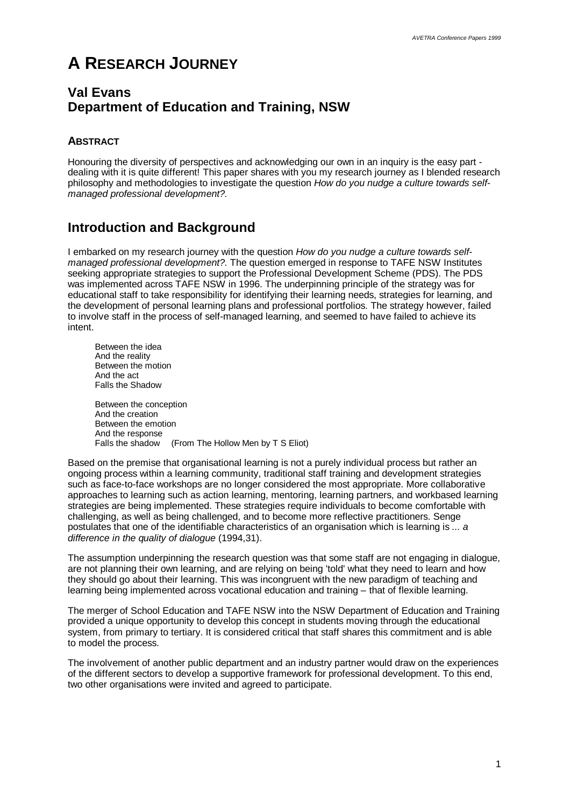# **A RESEARCH JOURNEY**

## **Val Evans Department of Education and Training, NSW**

### **ABSTRACT**

Honouring the diversity of perspectives and acknowledging our own in an inquiry is the easy part dealing with it is quite different! This paper shares with you my research journey as I blended research philosophy and methodologies to investigate the question *How do you nudge a culture towards selfmanaged professional development?.*

# **Introduction and Background**

I embarked on my research journey with the question *How do you nudge a culture towards selfmanaged professional development?*. The question emerged in response to TAFE NSW Institutes seeking appropriate strategies to support the Professional Development Scheme (PDS). The PDS was implemented across TAFE NSW in 1996. The underpinning principle of the strategy was for educational staff to take responsibility for identifying their learning needs, strategies for learning, and the development of personal learning plans and professional portfolios. The strategy however, failed to involve staff in the process of self-managed learning, and seemed to have failed to achieve its intent.

Between the idea And the reality Between the motion And the act Falls the Shadow

Between the conception And the creation Between the emotion And the response Falls the shadow (From The Hollow Men by T S Eliot)

Based on the premise that organisational learning is not a purely individual process but rather an ongoing process within a learning community, traditional staff training and development strategies such as face-to-face workshops are no longer considered the most appropriate. More collaborative approaches to learning such as action learning, mentoring, learning partners, and workbased learning strategies are being implemented. These strategies require individuals to become comfortable with challenging, as well as being challenged, and to become more reflective practitioners. Senge postulates that one of the identifiable characteristics of an organisation which is learning is *... a difference in the quality of dialogue* (1994,31).

The assumption underpinning the research question was that some staff are not engaging in dialogue, are not planning their own learning, and are relying on being 'told' what they need to learn and how they should go about their learning. This was incongruent with the new paradigm of teaching and learning being implemented across vocational education and training – that of flexible learning.

The merger of School Education and TAFE NSW into the NSW Department of Education and Training provided a unique opportunity to develop this concept in students moving through the educational system, from primary to tertiary. It is considered critical that staff shares this commitment and is able to model the process.

The involvement of another public department and an industry partner would draw on the experiences of the different sectors to develop a supportive framework for professional development. To this end, two other organisations were invited and agreed to participate.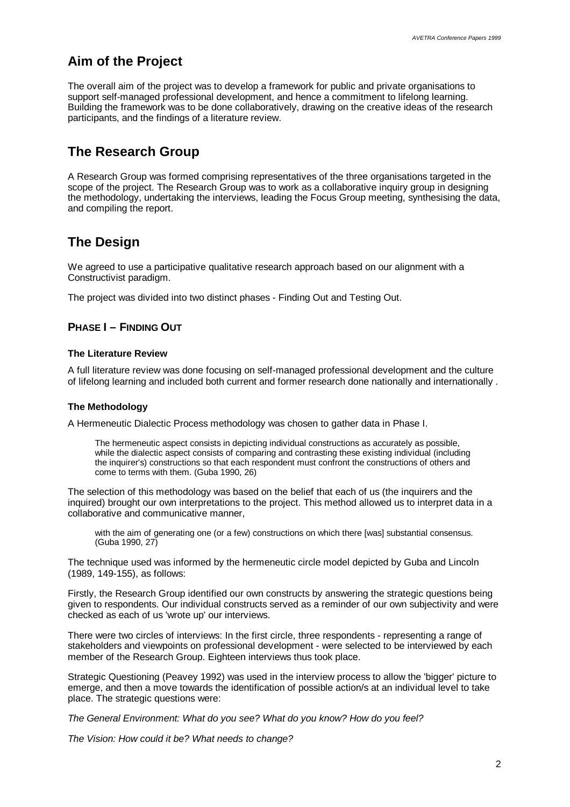# **Aim of the Project**

The overall aim of the project was to develop a framework for public and private organisations to support self-managed professional development, and hence a commitment to lifelong learning. Building the framework was to be done collaboratively, drawing on the creative ideas of the research participants, and the findings of a literature review.

# **The Research Group**

A Research Group was formed comprising representatives of the three organisations targeted in the scope of the project. The Research Group was to work as a collaborative inquiry group in designing the methodology, undertaking the interviews, leading the Focus Group meeting, synthesising the data, and compiling the report.

# **The Design**

We agreed to use a participative qualitative research approach based on our alignment with a Constructivist paradigm.

The project was divided into two distinct phases - Finding Out and Testing Out.

### **PHASE I – FINDING OUT**

#### **The Literature Review**

A full literature review was done focusing on self-managed professional development and the culture of lifelong learning and included both current and former research done nationally and internationally .

#### **The Methodology**

A Hermeneutic Dialectic Process methodology was chosen to gather data in Phase I.

The hermeneutic aspect consists in depicting individual constructions as accurately as possible, while the dialectic aspect consists of comparing and contrasting these existing individual (including the inquirer's) constructions so that each respondent must confront the constructions of others and come to terms with them. (Guba 1990, 26)

The selection of this methodology was based on the belief that each of us (the inquirers and the inquired) brought our own interpretations to the project. This method allowed us to interpret data in a collaborative and communicative manner,

with the aim of generating one (or a few) constructions on which there [was] substantial consensus. (Guba 1990, 27)

The technique used was informed by the hermeneutic circle model depicted by Guba and Lincoln (1989, 149-155), as follows:

Firstly, the Research Group identified our own constructs by answering the strategic questions being given to respondents. Our individual constructs served as a reminder of our own subjectivity and were checked as each of us 'wrote up' our interviews.

There were two circles of interviews: In the first circle, three respondents - representing a range of stakeholders and viewpoints on professional development - were selected to be interviewed by each member of the Research Group. Eighteen interviews thus took place.

Strategic Questioning (Peavey 1992) was used in the interview process to allow the 'bigger' picture to emerge, and then a move towards the identification of possible action/s at an individual level to take place. The strategic questions were:

*The General Environment: What do you see? What do you know? How do you feel?*

*The Vision: How could it be? What needs to change?*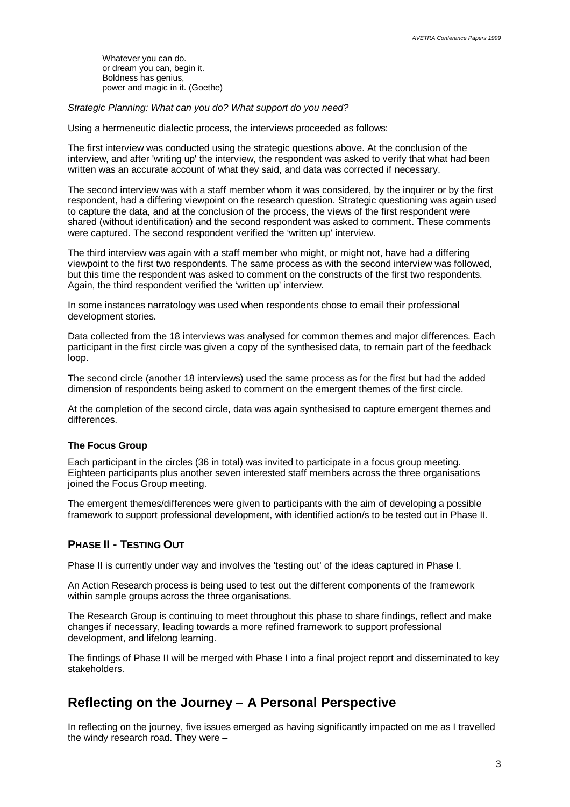Whatever you can do. or dream you can, begin it. Boldness has genius, power and magic in it. (Goethe)

*Strategic Planning: What can you do? What support do you need?*

Using a hermeneutic dialectic process, the interviews proceeded as follows:

The first interview was conducted using the strategic questions above. At the conclusion of the interview, and after 'writing up' the interview, the respondent was asked to verify that what had been written was an accurate account of what they said, and data was corrected if necessary.

The second interview was with a staff member whom it was considered, by the inquirer or by the first respondent, had a differing viewpoint on the research question. Strategic questioning was again used to capture the data, and at the conclusion of the process, the views of the first respondent were shared (without identification) and the second respondent was asked to comment. These comments were captured. The second respondent verified the 'written up' interview.

The third interview was again with a staff member who might, or might not, have had a differing viewpoint to the first two respondents. The same process as with the second interview was followed, but this time the respondent was asked to comment on the constructs of the first two respondents. Again, the third respondent verified the 'written up' interview.

In some instances narratology was used when respondents chose to email their professional development stories.

Data collected from the 18 interviews was analysed for common themes and major differences. Each participant in the first circle was given a copy of the synthesised data, to remain part of the feedback loop.

The second circle (another 18 interviews) used the same process as for the first but had the added dimension of respondents being asked to comment on the emergent themes of the first circle.

At the completion of the second circle, data was again synthesised to capture emergent themes and differences.

### **The Focus Group**

Each participant in the circles (36 in total) was invited to participate in a focus group meeting. Eighteen participants plus another seven interested staff members across the three organisations joined the Focus Group meeting.

The emergent themes/differences were given to participants with the aim of developing a possible framework to support professional development, with identified action/s to be tested out in Phase II.

## **PHASE II - TESTING OUT**

Phase II is currently under way and involves the 'testing out' of the ideas captured in Phase I.

An Action Research process is being used to test out the different components of the framework within sample groups across the three organisations.

The Research Group is continuing to meet throughout this phase to share findings, reflect and make changes if necessary, leading towards a more refined framework to support professional development, and lifelong learning.

The findings of Phase II will be merged with Phase I into a final project report and disseminated to key stakeholders.

# **Reflecting on the Journey – A Personal Perspective**

In reflecting on the journey, five issues emerged as having significantly impacted on me as I travelled the windy research road. They were –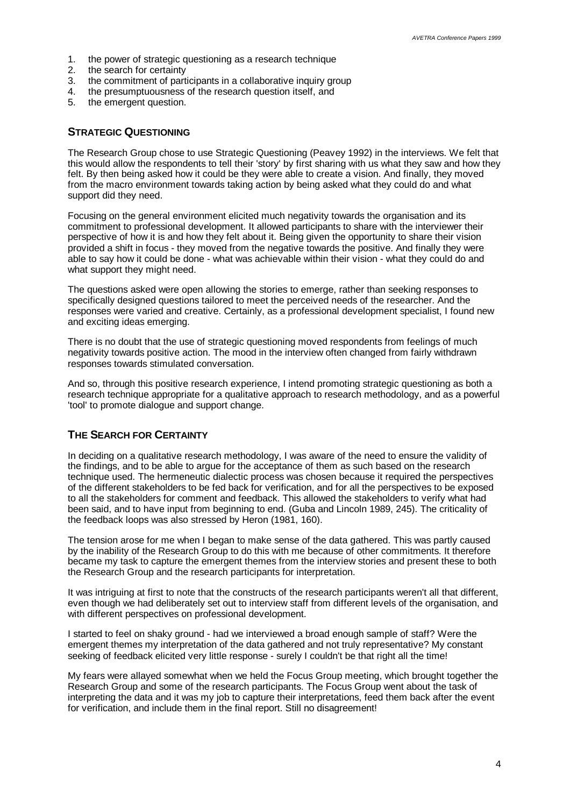- 1. the power of strategic questioning as a research technique<br>2. the search for certainty
- the search for certainty
- 3. the commitment of participants in a collaborative inquiry group
- 4. the presumptuousness of the research question itself, and
- 5. the emergent question.

### **STRATEGIC QUESTIONING**

The Research Group chose to use Strategic Questioning (Peavey 1992) in the interviews. We felt that this would allow the respondents to tell their 'story' by first sharing with us what they saw and how they felt. By then being asked how it could be they were able to create a vision. And finally, they moved from the macro environment towards taking action by being asked what they could do and what support did they need.

Focusing on the general environment elicited much negativity towards the organisation and its commitment to professional development. It allowed participants to share with the interviewer their perspective of how it is and how they felt about it. Being given the opportunity to share their vision provided a shift in focus - they moved from the negative towards the positive. And finally they were able to say how it could be done - what was achievable within their vision - what they could do and what support they might need.

The questions asked were open allowing the stories to emerge, rather than seeking responses to specifically designed questions tailored to meet the perceived needs of the researcher. And the responses were varied and creative. Certainly, as a professional development specialist, I found new and exciting ideas emerging.

There is no doubt that the use of strategic questioning moved respondents from feelings of much negativity towards positive action. The mood in the interview often changed from fairly withdrawn responses towards stimulated conversation.

And so, through this positive research experience, I intend promoting strategic questioning as both a research technique appropriate for a qualitative approach to research methodology, and as a powerful 'tool' to promote dialogue and support change.

### **THE SEARCH FOR CERTAINTY**

In deciding on a qualitative research methodology, I was aware of the need to ensure the validity of the findings, and to be able to argue for the acceptance of them as such based on the research technique used. The hermeneutic dialectic process was chosen because it required the perspectives of the different stakeholders to be fed back for verification, and for all the perspectives to be exposed to all the stakeholders for comment and feedback. This allowed the stakeholders to verify what had been said, and to have input from beginning to end. (Guba and Lincoln 1989, 245). The criticality of the feedback loops was also stressed by Heron (1981, 160).

The tension arose for me when I began to make sense of the data gathered. This was partly caused by the inability of the Research Group to do this with me because of other commitments. It therefore became my task to capture the emergent themes from the interview stories and present these to both the Research Group and the research participants for interpretation.

It was intriguing at first to note that the constructs of the research participants weren't all that different, even though we had deliberately set out to interview staff from different levels of the organisation, and with different perspectives on professional development.

I started to feel on shaky ground - had we interviewed a broad enough sample of staff? Were the emergent themes my interpretation of the data gathered and not truly representative? My constant seeking of feedback elicited very little response - surely I couldn't be that right all the time!

My fears were allayed somewhat when we held the Focus Group meeting, which brought together the Research Group and some of the research participants. The Focus Group went about the task of interpreting the data and it was my job to capture their interpretations, feed them back after the event for verification, and include them in the final report. Still no disagreement!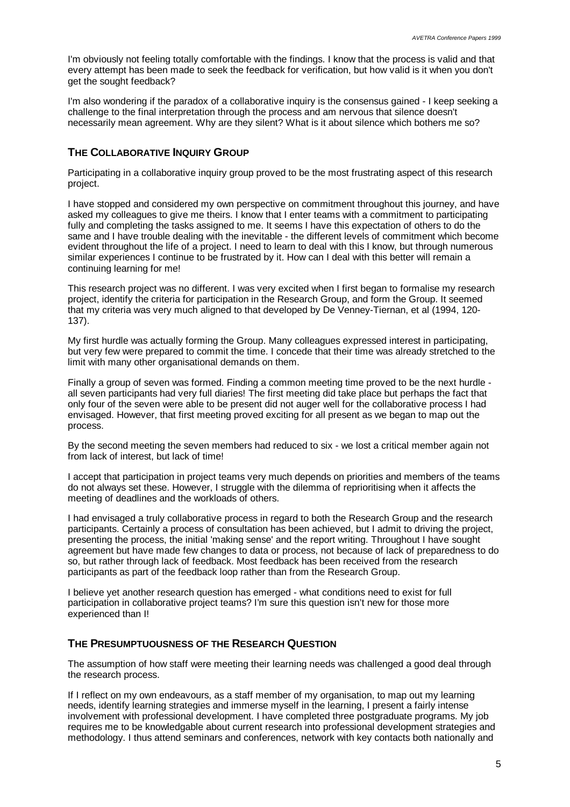I'm obviously not feeling totally comfortable with the findings. I know that the process is valid and that every attempt has been made to seek the feedback for verification, but how valid is it when you don't get the sought feedback?

I'm also wondering if the paradox of a collaborative inquiry is the consensus gained - I keep seeking a challenge to the final interpretation through the process and am nervous that silence doesn't necessarily mean agreement. Why are they silent? What is it about silence which bothers me so?

#### **THE COLLABORATIVE INQUIRY GROUP**

Participating in a collaborative inquiry group proved to be the most frustrating aspect of this research project.

I have stopped and considered my own perspective on commitment throughout this journey, and have asked my colleagues to give me theirs. I know that I enter teams with a commitment to participating fully and completing the tasks assigned to me. It seems I have this expectation of others to do the same and I have trouble dealing with the inevitable - the different levels of commitment which become evident throughout the life of a project. I need to learn to deal with this I know, but through numerous similar experiences I continue to be frustrated by it. How can I deal with this better will remain a continuing learning for me!

This research project was no different. I was very excited when I first began to formalise my research project, identify the criteria for participation in the Research Group, and form the Group. It seemed that my criteria was very much aligned to that developed by De Venney-Tiernan, et al (1994, 120- 137).

My first hurdle was actually forming the Group. Many colleagues expressed interest in participating, but very few were prepared to commit the time. I concede that their time was already stretched to the limit with many other organisational demands on them.

Finally a group of seven was formed. Finding a common meeting time proved to be the next hurdle all seven participants had very full diaries! The first meeting did take place but perhaps the fact that only four of the seven were able to be present did not auger well for the collaborative process I had envisaged. However, that first meeting proved exciting for all present as we began to map out the process.

By the second meeting the seven members had reduced to six - we lost a critical member again not from lack of interest, but lack of time!

I accept that participation in project teams very much depends on priorities and members of the teams do not always set these. However, I struggle with the dilemma of reprioritising when it affects the meeting of deadlines and the workloads of others.

I had envisaged a truly collaborative process in regard to both the Research Group and the research participants. Certainly a process of consultation has been achieved, but I admit to driving the project, presenting the process, the initial 'making sense' and the report writing. Throughout I have sought agreement but have made few changes to data or process, not because of lack of preparedness to do so, but rather through lack of feedback. Most feedback has been received from the research participants as part of the feedback loop rather than from the Research Group.

I believe yet another research question has emerged - what conditions need to exist for full participation in collaborative project teams? I'm sure this question isn't new for those more experienced than I!

#### **THE PRESUMPTUOUSNESS OF THE RESEARCH QUESTION**

The assumption of how staff were meeting their learning needs was challenged a good deal through the research process.

If I reflect on my own endeavours, as a staff member of my organisation, to map out my learning needs, identify learning strategies and immerse myself in the learning, I present a fairly intense involvement with professional development. I have completed three postgraduate programs. My job requires me to be knowledgable about current research into professional development strategies and methodology. I thus attend seminars and conferences, network with key contacts both nationally and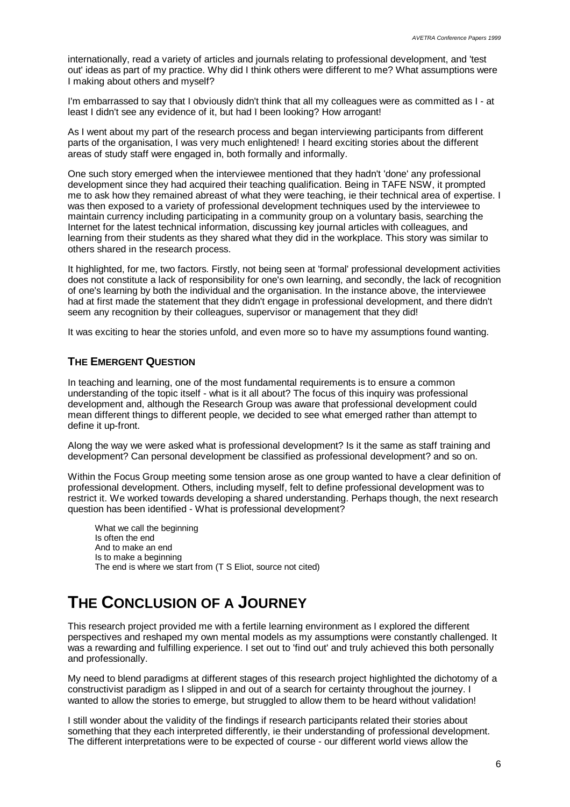internationally, read a variety of articles and journals relating to professional development, and 'test out' ideas as part of my practice. Why did I think others were different to me? What assumptions were I making about others and myself?

I'm embarrassed to say that I obviously didn't think that all my colleagues were as committed as I - at least I didn't see any evidence of it, but had I been looking? How arrogant!

As I went about my part of the research process and began interviewing participants from different parts of the organisation, I was very much enlightened! I heard exciting stories about the different areas of study staff were engaged in, both formally and informally.

One such story emerged when the interviewee mentioned that they hadn't 'done' any professional development since they had acquired their teaching qualification. Being in TAFE NSW, it prompted me to ask how they remained abreast of what they were teaching, ie their technical area of expertise. I was then exposed to a variety of professional development techniques used by the interviewee to maintain currency including participating in a community group on a voluntary basis, searching the Internet for the latest technical information, discussing key journal articles with colleagues, and learning from their students as they shared what they did in the workplace. This story was similar to others shared in the research process.

It highlighted, for me, two factors. Firstly, not being seen at 'formal' professional development activities does not constitute a lack of responsibility for one's own learning, and secondly, the lack of recognition of one's learning by both the individual and the organisation. In the instance above, the interviewee had at first made the statement that they didn't engage in professional development, and there didn't seem any recognition by their colleagues, supervisor or management that they did!

It was exciting to hear the stories unfold, and even more so to have my assumptions found wanting.

### **THE EMERGENT QUESTION**

In teaching and learning, one of the most fundamental requirements is to ensure a common understanding of the topic itself - what is it all about? The focus of this inquiry was professional development and, although the Research Group was aware that professional development could mean different things to different people, we decided to see what emerged rather than attempt to define it up-front.

Along the way we were asked what is professional development? Is it the same as staff training and development? Can personal development be classified as professional development? and so on.

Within the Focus Group meeting some tension arose as one group wanted to have a clear definition of professional development. Others, including myself, felt to define professional development was to restrict it. We worked towards developing a shared understanding. Perhaps though, the next research question has been identified - What is professional development?

What we call the beginning Is often the end And to make an end Is to make a beginning The end is where we start from (T S Eliot, source not cited)

# **THE CONCLUSION OF A JOURNEY**

This research project provided me with a fertile learning environment as I explored the different perspectives and reshaped my own mental models as my assumptions were constantly challenged. It was a rewarding and fulfilling experience. I set out to 'find out' and truly achieved this both personally and professionally.

My need to blend paradigms at different stages of this research project highlighted the dichotomy of a constructivist paradigm as I slipped in and out of a search for certainty throughout the journey. I wanted to allow the stories to emerge, but struggled to allow them to be heard without validation!

I still wonder about the validity of the findings if research participants related their stories about something that they each interpreted differently, ie their understanding of professional development. The different interpretations were to be expected of course - our different world views allow the